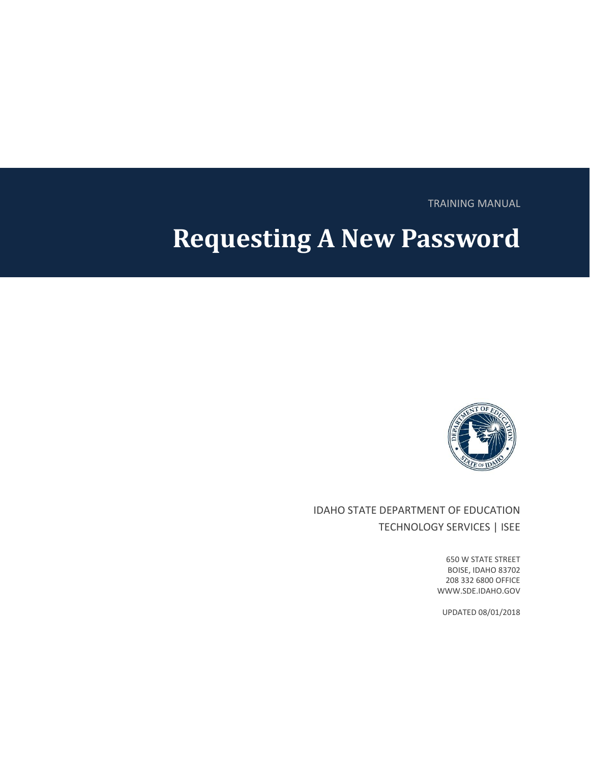TRAINING MANUAL

# **Requesting A New Password**



IDAHO STATE DEPARTMENT OF EDUCATION TECHNOLOGY SERVICES | ISEE

> 650 W STATE STREET BOISE, IDAHO 83702 208 332 6800 OFFICE WWW.SDE.IDAHO.GOV

UPDATED 08/01/2018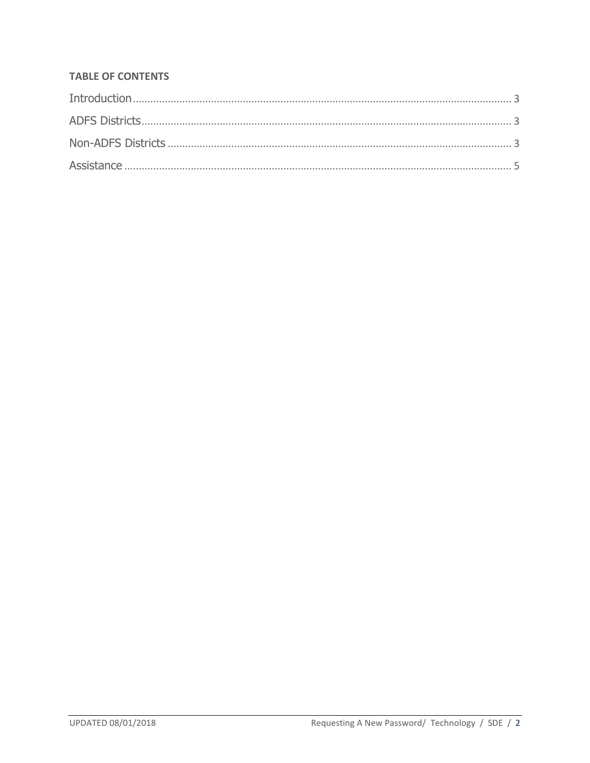#### **TABLE OF CONTENTS**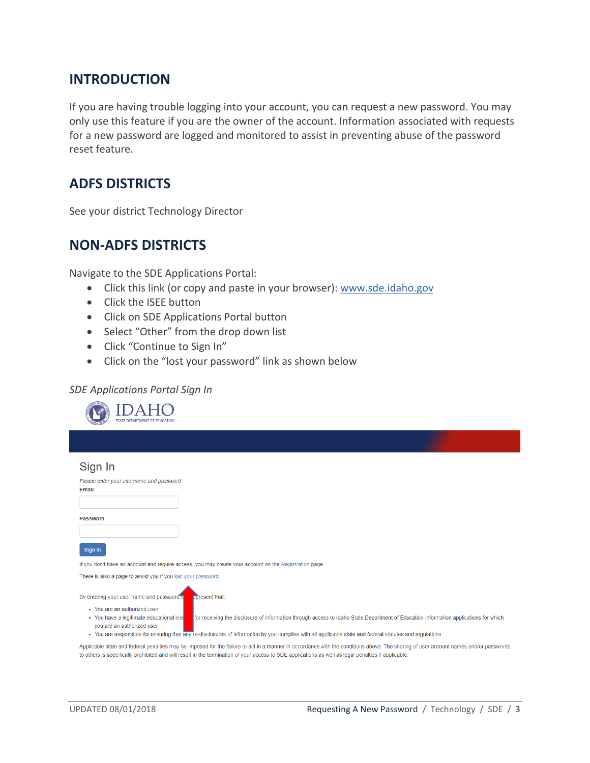## <span id="page-2-0"></span>**INTRODUCTION**

If you are having trouble logging into your account, you can request a new password. You may only use this feature if you are the owner of the account. Information associated with requests for a new password are logged and monitored to assist in preventing abuse of the password reset feature.

## <span id="page-2-1"></span>**ADFS DISTRICTS**

<span id="page-2-2"></span>See your district Technology Director

## **NON-ADFS DISTRICTS**

Navigate to the SDE Applications Portal:

- Click this link (or copy and paste in your browser): [www.sde.idaho.gov](http://www.sde.idaho.gov/)
- Click the ISEE button
- Click on SDE Applications Portal button
- Select "Other" from the drop down list
- Click "Continue to Sign In"
- Click on the "lost your password" link as shown below

#### *SDE Applications Portal Sign In*

| STATE DEPARTMENT OF EDUCATION                                                                                                                                                                                                                                                                                                                                              |  |
|----------------------------------------------------------------------------------------------------------------------------------------------------------------------------------------------------------------------------------------------------------------------------------------------------------------------------------------------------------------------------|--|
|                                                                                                                                                                                                                                                                                                                                                                            |  |
| Sign In                                                                                                                                                                                                                                                                                                                                                                    |  |
| Please enter your username and password<br>Email                                                                                                                                                                                                                                                                                                                           |  |
| <b>Password</b>                                                                                                                                                                                                                                                                                                                                                            |  |
| Sign In                                                                                                                                                                                                                                                                                                                                                                    |  |
| If you don't have an account and require access, you may create your account on the Registration page.                                                                                                                                                                                                                                                                     |  |
| There is also a page to assist you if you lost your password.                                                                                                                                                                                                                                                                                                              |  |
| By entering your user name and password y<br><b>Epresent that:</b><br>• You are an authorized user                                                                                                                                                                                                                                                                         |  |
| for receiving the disclosure of information through access to Idaho State Department of Education information applications for which<br>• You have a legitimate educational inte<br>you are an authorized user<br>• You are responsible for ensuring that any re-disclosures of information by you complies with all applicable state and federal statutes and regulations |  |
| Applicable state and federal penalties may be imposed for the failure to act in a manner in accordance with the conditions above. The sharing of user account names and/or passwords                                                                                                                                                                                       |  |

to others is specifically prohibited and will result in the termination of your access to SDE applications as well as legal penalties if applicable.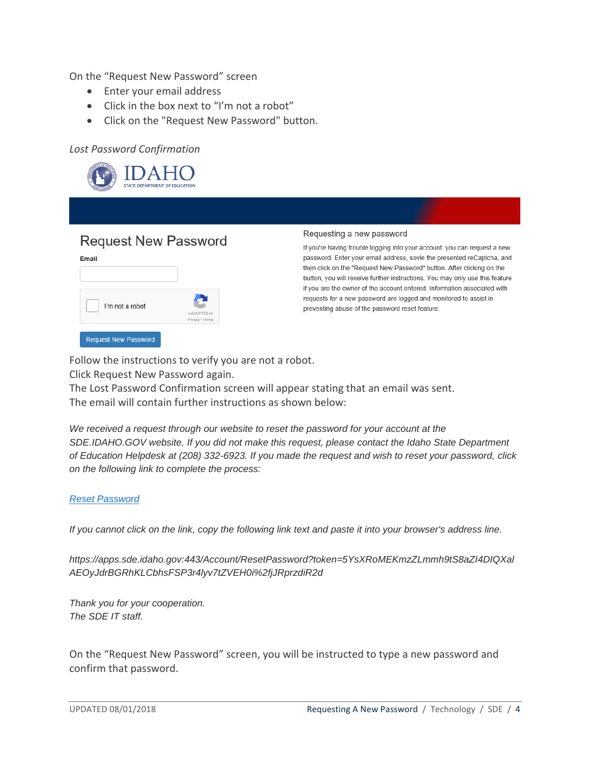On the "Request New Password" screen

- Enter your email address
- Click in the box next to "I'm not a robot"
- Click on the "Request New Password" button.

#### *Lost Password Confirmation*



## **Request New Password**

| I'm not a robot | 57                           |
|-----------------|------------------------------|
|                 | reCAPTCHA<br>Privacy - Terms |

#### Requesting a new password

If you're having trouble logging into your account, you can request a new password. Enter your email address, sovle the presented reCaptcha, and then click on the "Request New Password" button. After clicking on the button, you will receive further instructions. You may only use this feature if you are the owner of the account entered. Information associated with requests for a new password are logged and monitored to assist in preventing abuse of the password reset feature.

Follow the instructions to verify you are not a robot.

Click Request New Password again.

The Lost Password Confirmation screen will appear stating that an email was sent. The email will contain further instructions as shown below:

*We received a request through our website to reset the password for your account at the SDE.IDAHO.GOV website. If you did not make this request, please contact the Idaho State Department of Education Helpdesk at (208) 332-6923. If you made the request and wish to reset your password, click on the following link to complete the process:*

#### *[Reset Password](https://apps.sde.idaho.gov/Account/ResetPassword?token=5YsXRoMEKmzZLmmh9tS8aZI4DIQXalAEOyJdrBGRhKLCbhsFSP3r4lyv7tZVEH0i%2fjJRprzdiR2d6GGfUldKYQ%3d%3d)*

*If you cannot click on the link, copy the following link text and paste it into your browser's address line.*

*https://apps.sde.idaho.gov:443/Account/ResetPassword?token=5YsXRoMEKmzZLmmh9tS8aZI4DIQXal AEOyJdrBGRhKLCbhsFSP3r4lyv7tZVEH0i%2fjJRprzdiR2d*

*Thank you for your cooperation. The SDE IT staff.*

On the "Request New Password" screen, you will be instructed to type a new password and confirm that password.